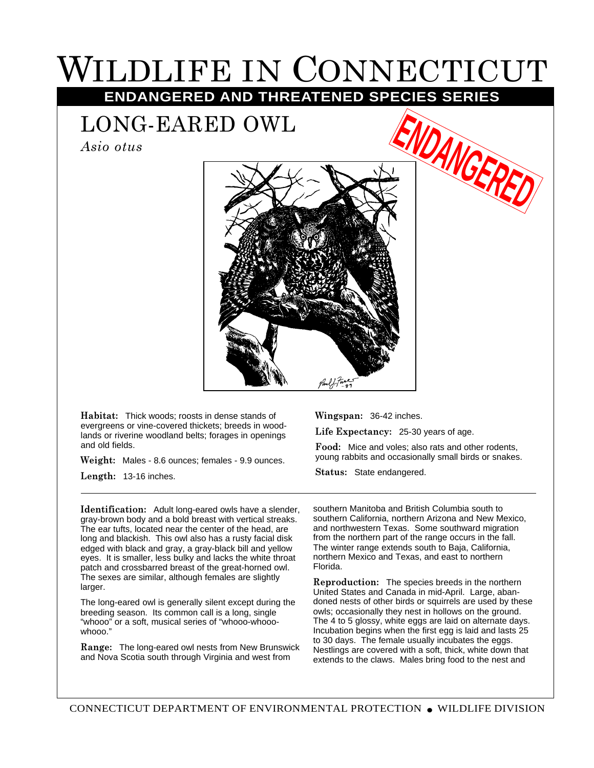## WILDLIFE IN CONNECTICUT

**ENDANGERED AND THREATENED SPECIES SERIES**

LONG-EARED OWL

*Asio otus*



**Habitat:** Thick woods; roosts in dense stands of evergreens or vine-covered thickets; breeds in woodlands or riverine woodland belts; forages in openings and old fields.

**Weight:** Males - 8.6 ounces; females - 9.9 ounces. **Length:** 13-16 inches.

**Identification:** Adult long-eared owls have a slender, gray-brown body and a bold breast with vertical streaks. The ear tufts, located near the center of the head, are long and blackish. This owl also has a rusty facial disk edged with black and gray, a gray-black bill and yellow eyes. It is smaller, less bulky and lacks the white throat patch and crossbarred breast of the great-horned owl. The sexes are similar, although females are slightly larger.

The long-eared owl is generally silent except during the breeding season. Its common call is a long, single "whooo" or a soft, musical series of "whooo-whooowhooo."

**Range:** The long-eared owl nests from New Brunswick and Nova Scotia south through Virginia and west from

**Wingspan:** 36-42 inches.

**Life Expectancy:** 25-30 years of age.

**Food:** Mice and voles; also rats and other rodents, young rabbits and occasionally small birds or snakes.

**DANGERE** 

**Status:** State endangered.

southern Manitoba and British Columbia south to southern California, northern Arizona and New Mexico, and northwestern Texas. Some southward migration from the northern part of the range occurs in the fall. The winter range extends south to Baja, California, northern Mexico and Texas, and east to northern Florida.

**Reproduction:** The species breeds in the northern United States and Canada in mid-April. Large, abandoned nests of other birds or squirrels are used by these owls; occasionally they nest in hollows on the ground. The 4 to 5 glossy, white eggs are laid on alternate days. Incubation begins when the first egg is laid and lasts 25 to 30 days. The female usually incubates the eggs. Nestlings are covered with a soft, thick, white down that extends to the claws. Males bring food to the nest and